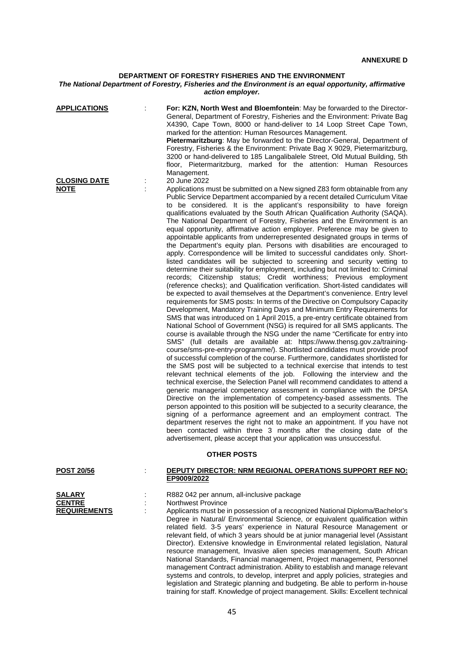## **DEPARTMENT OF FORESTRY FISHERIES AND THE ENVIRONMENT**

## *The National Department of Forestry, Fisheries and the Environment is an equal opportunity, affirmative action employer.*

| <b>APPLICATIONS</b><br><b>CLOSING DATE</b>            | For: KZN, North West and Bloemfontein: May be forwarded to the Director-<br>General, Department of Forestry, Fisheries and the Environment: Private Bag<br>X4390, Cape Town, 8000 or hand-deliver to 14 Loop Street Cape Town,<br>marked for the attention: Human Resources Management.<br>Pietermaritzburg: May be forwarded to the Director-General, Department of<br>Forestry, Fisheries & the Environment: Private Bag X 9029, Pietermaritzburg,<br>3200 or hand-delivered to 185 Langalibalele Street, Old Mutual Building, 5th<br>floor, Pietermaritzburg, marked for the attention: Human Resources<br>Management.<br>20 June 2022                                                                                                                                                                                                                                                                                                                                                                                                                                                                                                                                                                                                                                                                                                                                                                                                                                                                                                                                                                                                                                                                                                                                                                                                                                                                                                                                                                                                                                                                                                                                                                                                                                                                                                                                                                                                                                                                                                                                          |
|-------------------------------------------------------|------------------------------------------------------------------------------------------------------------------------------------------------------------------------------------------------------------------------------------------------------------------------------------------------------------------------------------------------------------------------------------------------------------------------------------------------------------------------------------------------------------------------------------------------------------------------------------------------------------------------------------------------------------------------------------------------------------------------------------------------------------------------------------------------------------------------------------------------------------------------------------------------------------------------------------------------------------------------------------------------------------------------------------------------------------------------------------------------------------------------------------------------------------------------------------------------------------------------------------------------------------------------------------------------------------------------------------------------------------------------------------------------------------------------------------------------------------------------------------------------------------------------------------------------------------------------------------------------------------------------------------------------------------------------------------------------------------------------------------------------------------------------------------------------------------------------------------------------------------------------------------------------------------------------------------------------------------------------------------------------------------------------------------------------------------------------------------------------------------------------------------------------------------------------------------------------------------------------------------------------------------------------------------------------------------------------------------------------------------------------------------------------------------------------------------------------------------------------------------------------------------------------------------------------------------------------------------|
| <b>NOTE</b>                                           | Applications must be submitted on a New signed Z83 form obtainable from any<br>Public Service Department accompanied by a recent detailed Curriculum Vitae<br>to be considered. It is the applicant's responsibility to have foreign<br>qualifications evaluated by the South African Qualification Authority (SAQA).<br>The National Department of Forestry, Fisheries and the Environment is an<br>equal opportunity, affirmative action employer. Preference may be given to<br>appointable applicants from underrepresented designated groups in terms of<br>the Department's equity plan. Persons with disabilities are encouraged to<br>apply. Correspondence will be limited to successful candidates only. Short-<br>listed candidates will be subjected to screening and security vetting to<br>determine their suitability for employment, including but not limited to: Criminal<br>records; Citizenship status; Credit worthiness; Previous employment<br>(reference checks); and Qualification verification. Short-listed candidates will<br>be expected to avail themselves at the Department's convenience. Entry level<br>requirements for SMS posts: In terms of the Directive on Compulsory Capacity<br>Development, Mandatory Training Days and Minimum Entry Requirements for<br>SMS that was introduced on 1 April 2015, a pre-entry certificate obtained from<br>National School of Government (NSG) is required for all SMS applicants. The<br>course is available through the NSG under the name "Certificate for entry into<br>SMS" (full details are available at: https://www.thensg.gov.za/training-<br>course/sms-pre-entry-programme/). Shortlisted candidates must provide proof<br>of successful completion of the course. Furthermore, candidates shortlisted for<br>the SMS post will be subjected to a technical exercise that intends to test<br>relevant technical elements of the job. Following the interview and the<br>technical exercise, the Selection Panel will recommend candidates to attend a<br>generic managerial competency assessment in compliance with the DPSA<br>Directive on the implementation of competency-based assessments. The<br>person appointed to this position will be subjected to a security clearance, the<br>signing of a performance agreement and an employment contract. The<br>department reserves the right not to make an appointment. If you have not<br>been contacted within three 3 months after the closing date of the<br>advertisement, please accept that your application was unsuccessful. |
|                                                       | <b>OTHER POSTS</b>                                                                                                                                                                                                                                                                                                                                                                                                                                                                                                                                                                                                                                                                                                                                                                                                                                                                                                                                                                                                                                                                                                                                                                                                                                                                                                                                                                                                                                                                                                                                                                                                                                                                                                                                                                                                                                                                                                                                                                                                                                                                                                                                                                                                                                                                                                                                                                                                                                                                                                                                                                 |
| <u>POST 20/56</u>                                     | DEPUTY DIRECTOR: NRM REGIONAL OPERATIONS SUPPORT REF NO:<br>EP9009/2022                                                                                                                                                                                                                                                                                                                                                                                                                                                                                                                                                                                                                                                                                                                                                                                                                                                                                                                                                                                                                                                                                                                                                                                                                                                                                                                                                                                                                                                                                                                                                                                                                                                                                                                                                                                                                                                                                                                                                                                                                                                                                                                                                                                                                                                                                                                                                                                                                                                                                                            |
| <b>SALARY</b><br><b>CENTRE</b><br><b>REQUIREMENTS</b> | R882 042 per annum, all-inclusive package<br><b>Northwest Province</b><br>Applicants must be in possession of a recognized National Diploma/Bachelor's<br>Degree in Natural/ Environmental Science, or equivalent qualification within<br>related field. 3-5 years' experience in Natural Resource Management or<br>relevant field, of which 3 years should be at junior managerial level (Assistant<br>Director). Extensive knowledge in Environmental related legislation, Natural<br>resource management, Invasive alien species management, South African<br>National Standards, Financial management, Project management, Personnel<br>management Contract administration. Ability to establish and manage relevant                                                                                                                                                                                                                                                                                                                                                                                                                                                                                                                                                                                                                                                                                                                                                                                                                                                                                                                                                                                                                                                                                                                                                                                                                                                                                                                                                                                                                                                                                                                                                                                                                                                                                                                                                                                                                                                           |

systems and controls, to develop, interpret and apply policies, strategies and legislation and Strategic planning and budgeting. Be able to perform in-house training for staff. Knowledge of project management. Skills: Excellent technical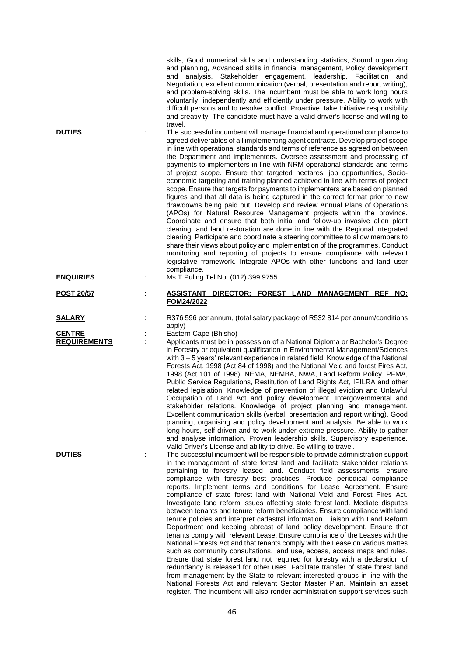| <b>DUTIES</b><br><b>ENQUIRIES</b>    | t | skills, Good numerical skills and understanding statistics, Sound organizing<br>and planning, Advanced skills in financial management, Policy development<br>and analysis, Stakeholder engagement, leadership, Facilitation and<br>Negotiation, excellent communication (verbal, presentation and report writing),<br>and problem-solving skills. The incumbent must be able to work long hours<br>voluntarily, independently and efficiently under pressure. Ability to work with<br>difficult persons and to resolve conflict. Proactive, take Initiative responsibility<br>and creativity. The candidate must have a valid driver's license and willing to<br>travel.<br>The successful incumbent will manage financial and operational compliance to<br>agreed deliverables of all implementing agent contracts. Develop project scope<br>in line with operational standards and terms of reference as agreed on between<br>the Department and implementers. Oversee assessment and processing of<br>payments to implementers in line with NRM operational standards and terms<br>of project scope. Ensure that targeted hectares, job opportunities, Socio-<br>economic targeting and training planned achieved in line with terms of project<br>scope. Ensure that targets for payments to implementers are based on planned<br>figures and that all data is being captured in the correct format prior to new<br>drawdowns being paid out. Develop and review Annual Plans of Operations<br>(APOs) for Natural Resource Management projects within the province.<br>Coordinate and ensure that both initial and follow-up invasive alien plant<br>clearing, and land restoration are done in line with the Regional integrated<br>clearing. Participate and coordinate a steering committee to allow members to<br>share their views about policy and implementation of the programmes. Conduct<br>monitoring and reporting of projects to ensure compliance with relevant<br>legislative framework. Integrate APOs with other functions and land user<br>compliance.<br>Ms T Puling Tel No: (012) 399 9755 |
|--------------------------------------|---|--------------------------------------------------------------------------------------------------------------------------------------------------------------------------------------------------------------------------------------------------------------------------------------------------------------------------------------------------------------------------------------------------------------------------------------------------------------------------------------------------------------------------------------------------------------------------------------------------------------------------------------------------------------------------------------------------------------------------------------------------------------------------------------------------------------------------------------------------------------------------------------------------------------------------------------------------------------------------------------------------------------------------------------------------------------------------------------------------------------------------------------------------------------------------------------------------------------------------------------------------------------------------------------------------------------------------------------------------------------------------------------------------------------------------------------------------------------------------------------------------------------------------------------------------------------------------------------------------------------------------------------------------------------------------------------------------------------------------------------------------------------------------------------------------------------------------------------------------------------------------------------------------------------------------------------------------------------------------------------------------------------------------------------------------------------------------------------------------------------------|
| <b>POST 20/57</b>                    |   | ASSISTANT DIRECTOR: FOREST LAND MANAGEMENT REF<br>NO:                                                                                                                                                                                                                                                                                                                                                                                                                                                                                                                                                                                                                                                                                                                                                                                                                                                                                                                                                                                                                                                                                                                                                                                                                                                                                                                                                                                                                                                                                                                                                                                                                                                                                                                                                                                                                                                                                                                                                                                                                                                              |
|                                      |   | FOM24/2022                                                                                                                                                                                                                                                                                                                                                                                                                                                                                                                                                                                                                                                                                                                                                                                                                                                                                                                                                                                                                                                                                                                                                                                                                                                                                                                                                                                                                                                                                                                                                                                                                                                                                                                                                                                                                                                                                                                                                                                                                                                                                                         |
| <b>SALARY</b>                        | İ | R376 596 per annum, (total salary package of R532 814 per annum/conditions<br>apply)                                                                                                                                                                                                                                                                                                                                                                                                                                                                                                                                                                                                                                                                                                                                                                                                                                                                                                                                                                                                                                                                                                                                                                                                                                                                                                                                                                                                                                                                                                                                                                                                                                                                                                                                                                                                                                                                                                                                                                                                                               |
| <b>CENTRE</b><br><b>REQUIREMENTS</b> | ÷ | Eastern Cape (Bhisho)<br>Applicants must be in possession of a National Diploma or Bachelor's Degree<br>in Forestry or equivalent qualification in Environmental Management/Sciences<br>with $3 - 5$ years' relevant experience in related field. Knowledge of the National<br>Forests Act, 1998 (Act 84 of 1998) and the National Veld and forest Fires Act,<br>1998 (Act 101 of 1998), NEMA, NEMBA, NWA, Land Reform Policy, PFMA,<br>Public Service Regulations, Restitution of Land Rights Act, IPILRA and other<br>related legislation. Knowledge of prevention of illegal eviction and Unlawful<br>Occupation of Land Act and policy development, Intergovernmental and<br>stakeholder relations. Knowledge of project planning and management.<br>Excellent communication skills (verbal, presentation and report writing). Good<br>planning, organising and policy development and analysis. Be able to work<br>long hours, self-driven and to work under extreme pressure. Ability to gather<br>and analyse information. Proven leadership skills. Supervisory experience.<br>Valid Driver's License and ability to drive. Be willing to travel.                                                                                                                                                                                                                                                                                                                                                                                                                                                                                                                                                                                                                                                                                                                                                                                                                                                                                                                                                          |
| <b>DUTIES</b>                        |   | The successful incumbent will be responsible to provide administration support<br>in the management of state forest land and facilitate stakeholder relations<br>pertaining to forestry leased land. Conduct field assessments, ensure<br>compliance with forestry best practices. Produce periodical compliance<br>reports. Implement terms and conditions for Lease Agreement. Ensure<br>compliance of state forest land with National Veld and Forest Fires Act.<br>Investigate land reform issues affecting state forest land. Mediate disputes<br>between tenants and tenure reform beneficiaries. Ensure compliance with land<br>tenure policies and interpret cadastral information. Liaison with Land Reform<br>Department and keeping abreast of land policy development. Ensure that<br>tenants comply with relevant Lease. Ensure compliance of the Leases with the<br>National Forests Act and that tenants comply with the Lease on various mattes<br>such as community consultations, land use, access, access maps and rules.<br>Ensure that state forest land not required for forestry with a declaration of<br>redundancy is released for other uses. Facilitate transfer of state forest land<br>from management by the State to relevant interested groups in line with the<br>National Forests Act and relevant Sector Master Plan. Maintain an asset<br>register. The incumbent will also render administration support services such                                                                                                                                                                                                                                                                                                                                                                                                                                                                                                                                                                                                                                                        |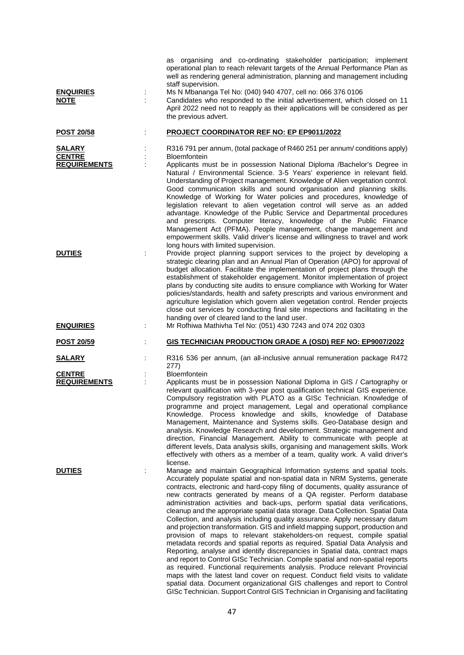| <b>ENQUIRIES</b><br><b>NOTE</b>                       |   | as organising and co-ordinating stakeholder participation; implement<br>operational plan to reach relevant targets of the Annual Performance Plan as<br>well as rendering general administration, planning and management including<br>staff supervision.<br>Ms N Mbananga Tel No: (040) 940 4707, cell no: 066 376 0106<br>Candidates who responded to the initial advertisement, which closed on 11<br>April 2022 need not to reapply as their applications will be considered as per<br>the previous advert.                                                                                                                                                                                                                                                                                                                                                                                                                                                                                                                                                                                                                                                                                                                                                                                          |
|-------------------------------------------------------|---|----------------------------------------------------------------------------------------------------------------------------------------------------------------------------------------------------------------------------------------------------------------------------------------------------------------------------------------------------------------------------------------------------------------------------------------------------------------------------------------------------------------------------------------------------------------------------------------------------------------------------------------------------------------------------------------------------------------------------------------------------------------------------------------------------------------------------------------------------------------------------------------------------------------------------------------------------------------------------------------------------------------------------------------------------------------------------------------------------------------------------------------------------------------------------------------------------------------------------------------------------------------------------------------------------------|
| <b>POST 20/58</b>                                     |   | <b>PROJECT COORDINATOR REF NO: EP EP9011/2022</b>                                                                                                                                                                                                                                                                                                                                                                                                                                                                                                                                                                                                                                                                                                                                                                                                                                                                                                                                                                                                                                                                                                                                                                                                                                                        |
| <b>SALARY</b><br><b>CENTRE</b><br><b>REQUIREMENTS</b> |   | R316 791 per annum, (total package of R460 251 per annum/ conditions apply)<br>Bloemfontein<br>Applicants must be in possession National Diploma /Bachelor's Degree in<br>Natural / Environmental Science. 3-5 Years' experience in relevant field.<br>Understanding of Project management. Knowledge of Alien vegetation control.<br>Good communication skills and sound organisation and planning skills.<br>Knowledge of Working for Water policies and procedures, knowledge of<br>legislation relevant to alien vegetation control will serve as an added<br>advantage. Knowledge of the Public Service and Departmental procedures<br>and prescripts. Computer literacy, knowledge of the Public Finance                                                                                                                                                                                                                                                                                                                                                                                                                                                                                                                                                                                           |
| <b>DUTIES</b><br><b>ENQUIRIES</b>                     | ÷ | Management Act (PFMA). People management, change management and<br>empowerment skills. Valid driver's license and willingness to travel and work<br>long hours with limited supervision.<br>Provide project planning support services to the project by developing a<br>strategic clearing plan and an Annual Plan of Operation (APO) for approval of<br>budget allocation. Facilitate the implementation of project plans through the<br>establishment of stakeholder engagement. Monitor implementation of project<br>plans by conducting site audits to ensure compliance with Working for Water<br>policies/standards, health and safety prescripts and various environment and<br>agriculture legislation which govern alien vegetation control. Render projects<br>close out services by conducting final site inspections and facilitating in the<br>handing over of cleared land to the land user.<br>Mr Rofhiwa Mathivha Tel No: (051) 430 7243 and 074 202 0303                                                                                                                                                                                                                                                                                                                                |
| <b>POST 20/59</b>                                     |   | GIS TECHNICIAN PRODUCTION GRADE A (OSD) REF NO: EP9007/2022                                                                                                                                                                                                                                                                                                                                                                                                                                                                                                                                                                                                                                                                                                                                                                                                                                                                                                                                                                                                                                                                                                                                                                                                                                              |
| <b>SALARY</b>                                         |   | R316 536 per annum, (an all-inclusive annual remuneration package R472                                                                                                                                                                                                                                                                                                                                                                                                                                                                                                                                                                                                                                                                                                                                                                                                                                                                                                                                                                                                                                                                                                                                                                                                                                   |
| <b>CENTRE</b><br><b>REQUIREMENTS</b>                  |   | 277)<br>Bloemfontein<br>Applicants must be in possession National Diploma in GIS / Cartography or<br>relevant qualification with 3-year post qualification technical GIS experience.<br>Compulsory registration with PLATO as a GISc Technician. Knowledge of<br>programme and project management, Legal and operational compliance<br>Knowledge. Process knowledge and skills, knowledge of Database<br>Management, Maintenance and Systems skills. Geo-Database design and<br>analysis. Knowledge Research and development. Strategic management and<br>direction, Financial Management. Ability to communicate with people at<br>different levels, Data analysis skills, organising and management skills. Work<br>effectively with others as a member of a team, quality work. A valid driver's<br>license.                                                                                                                                                                                                                                                                                                                                                                                                                                                                                          |
| <b>DUTIES</b>                                         |   | Manage and maintain Geographical Information systems and spatial tools.<br>Accurately populate spatial and non-spatial data in NRM Systems, generate<br>contracts, electronic and hard-copy filing of documents, quality assurance of<br>new contracts generated by means of a QA register. Perform database<br>administration activities and back-ups, perform spatial data verifications,<br>cleanup and the appropriate spatial data storage. Data Collection. Spatial Data<br>Collection, and analysis including quality assurance. Apply necessary datum<br>and projection transformation. GIS and infield mapping support, production and<br>provision of maps to relevant stakeholders-on request, compile spatial<br>metadata records and spatial reports as required. Spatial Data Analysis and<br>Reporting, analyse and identify discrepancies in Spatial data, contract maps<br>and report to Control GISc Technician. Compile spatial and non-spatial reports<br>as required. Functional requirements analysis. Produce relevant Provincial<br>maps with the latest land cover on request. Conduct field visits to validate<br>spatial data. Document organizational GIS challenges and report to Control<br>GISc Technician. Support Control GIS Technician in Organising and facilitating |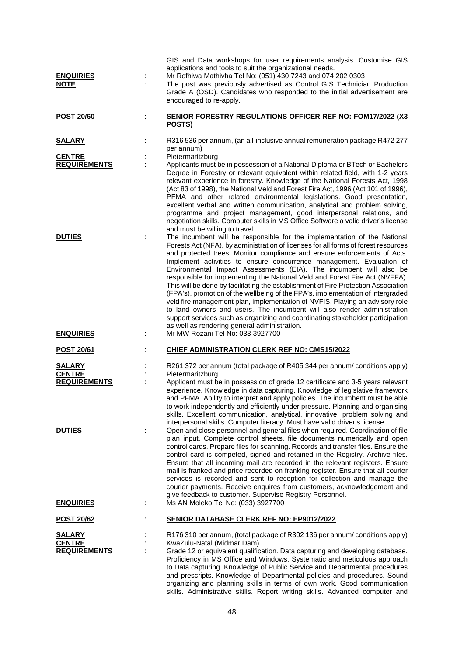| <b>ENQUIRIES</b><br><b>NOTE</b>                       | GIS and Data workshops for user requirements analysis. Customise GIS<br>applications and tools to suit the organizational needs.<br>Mr Rofhiwa Mathivha Tel No: (051) 430 7243 and 074 202 0303<br>The post was previously advertised as Control GIS Technician Production<br>Grade A (OSD). Candidates who responded to the initial advertisement are<br>encouraged to re-apply.                                                                                                                                                                                                                                                                                                                                                                                                                                                                                                                                                             |
|-------------------------------------------------------|-----------------------------------------------------------------------------------------------------------------------------------------------------------------------------------------------------------------------------------------------------------------------------------------------------------------------------------------------------------------------------------------------------------------------------------------------------------------------------------------------------------------------------------------------------------------------------------------------------------------------------------------------------------------------------------------------------------------------------------------------------------------------------------------------------------------------------------------------------------------------------------------------------------------------------------------------|
| <b>POST 20/60</b>                                     | SENIOR FORESTRY REGULATIONS OFFICER REF NO: FOM17/2022 (X3)<br>POSTS)                                                                                                                                                                                                                                                                                                                                                                                                                                                                                                                                                                                                                                                                                                                                                                                                                                                                         |
| <u>SALARY</u>                                         | R316 536 per annum, (an all-inclusive annual remuneration package R472 277<br>per annum)                                                                                                                                                                                                                                                                                                                                                                                                                                                                                                                                                                                                                                                                                                                                                                                                                                                      |
| <b>CENTRE</b><br><b>REQUIREMENTS</b>                  | Pietermaritzburg<br>Applicants must be in possession of a National Diploma or BTech or Bachelors<br>Degree in Forestry or relevant equivalent within related field, with 1-2 years<br>relevant experience in forestry. Knowledge of the National Forests Act, 1998<br>(Act 83 of 1998), the National Veld and Forest Fire Act, 1996 (Act 101 of 1996),<br>PFMA and other related environmental legislations. Good presentation,<br>excellent verbal and written communication, analytical and problem solving,<br>programme and project management, good interpersonal relations, and<br>negotiation skills. Computer skills in MS Office Software a valid driver's license<br>and must be willing to travel.                                                                                                                                                                                                                                 |
| <b>DUTIES</b>                                         | The incumbent will be responsible for the implementation of the National<br>Forests Act (NFA), by administration of licenses for all forms of forest resources<br>and protected trees. Monitor compliance and ensure enforcements of Acts.<br>Implement activities to ensure concurrence management. Evaluation of<br>Environmental Impact Assessments (EIA). The incumbent will also be<br>responsible for implementing the National Veld and Forest Fire Act (NVFFA).<br>This will be done by facilitating the establishment of Fire Protection Association<br>(FPA's), promotion of the wellbeing of the FPA's, implementation of intergraded<br>veld fire management plan, implementation of NVFIS. Playing an advisory role<br>to land owners and users. The incumbent will also render administration<br>support services such as organizing and coordinating stakeholder participation<br>as well as rendering general administration. |
| <b>ENQUIRIES</b>                                      | Mr MW Rozani Tel No: 033 3927700                                                                                                                                                                                                                                                                                                                                                                                                                                                                                                                                                                                                                                                                                                                                                                                                                                                                                                              |
| POST 20/61                                            | <b>CHIEF ADMINISTRATION CLERK REF NO: CMS15/2022</b>                                                                                                                                                                                                                                                                                                                                                                                                                                                                                                                                                                                                                                                                                                                                                                                                                                                                                          |
| <b>SALARY</b><br><b>CENTRE</b><br><b>REQUIREMENTS</b> | R261 372 per annum (total package of R405 344 per annum/ conditions apply)<br>Pietermaritzburg<br>Applicant must be in possession of grade 12 certificate and 3-5 years relevant<br>experience. Knowledge in data capturing. Knowledge of legislative framework<br>and PFMA. Ability to interpret and apply policies. The incumbent must be able<br>to work independently and efficiently under pressure. Planning and organising<br>skills. Excellent communication, analytical, innovative, problem solving and                                                                                                                                                                                                                                                                                                                                                                                                                             |
| <b>DUTIES</b>                                         | interpersonal skills. Computer literacy. Must have valid driver's license.<br>Open and close personnel and general files when required. Coordination of file<br>plan input. Complete control sheets, file documents numerically and open<br>control cards. Prepare files for scanning. Records and transfer files. Ensure the<br>control card is competed, signed and retained in the Registry. Archive files.<br>Ensure that all incoming mail are recorded in the relevant registers. Ensure<br>mail is franked and price recorded on franking register. Ensure that all courier<br>services is recorded and sent to reception for collection and manage the<br>courier payments. Receive enquires from customers, acknowledgement and<br>give feedback to customer. Supervise Registry Personnel.                                                                                                                                          |
| <b>ENQUIRIES</b><br>÷                                 | Ms AN Moleko Tel No: (033) 3927700                                                                                                                                                                                                                                                                                                                                                                                                                                                                                                                                                                                                                                                                                                                                                                                                                                                                                                            |
| <b>POST 20/62</b>                                     | <b>SENIOR DATABASE CLERK REF NO: EP9012/2022</b>                                                                                                                                                                                                                                                                                                                                                                                                                                                                                                                                                                                                                                                                                                                                                                                                                                                                                              |
| <b>SALARY</b><br><b>CENTRE</b><br><b>REQUIREMENTS</b> | R176 310 per annum, (total package of R302 136 per annum/ conditions apply)<br>KwaZulu-Natal (Midmar Dam)<br>Grade 12 or equivalent qualification. Data capturing and developing database.<br>Proficiency in MS Office and Windows. Systematic and meticulous approach<br>to Data capturing. Knowledge of Public Service and Departmental procedures<br>and prescripts. Knowledge of Departmental policies and procedures. Sound<br>organizing and planning skills in terms of own work. Good communication                                                                                                                                                                                                                                                                                                                                                                                                                                   |

skills. Administrative skills. Report writing skills. Advanced computer and